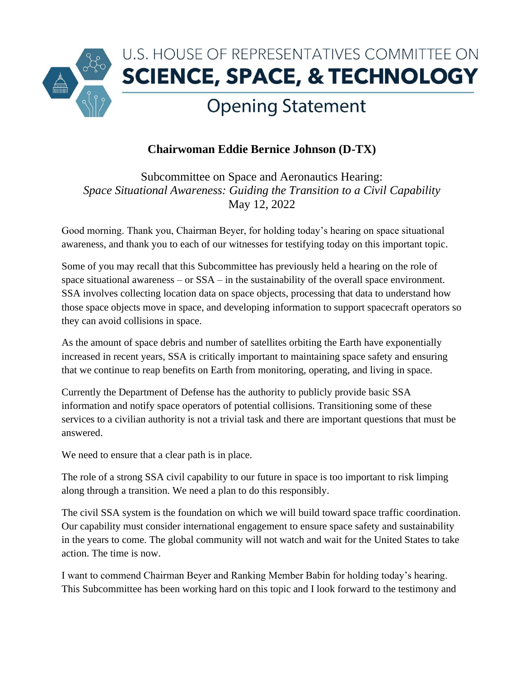

## **Chairwoman Eddie Bernice Johnson (D-TX)**

Subcommittee on Space and Aeronautics Hearing: *Space Situational Awareness: Guiding the Transition to a Civil Capability* May 12, 2022

Good morning. Thank you, Chairman Beyer, for holding today's hearing on space situational awareness, and thank you to each of our witnesses for testifying today on this important topic.

Some of you may recall that this Subcommittee has previously held a hearing on the role of space situational awareness – or SSA – in the sustainability of the overall space environment. SSA involves collecting location data on space objects, processing that data to understand how those space objects move in space, and developing information to support spacecraft operators so they can avoid collisions in space.

As the amount of space debris and number of satellites orbiting the Earth have exponentially increased in recent years, SSA is critically important to maintaining space safety and ensuring that we continue to reap benefits on Earth from monitoring, operating, and living in space.

Currently the Department of Defense has the authority to publicly provide basic SSA information and notify space operators of potential collisions. Transitioning some of these services to a civilian authority is not a trivial task and there are important questions that must be answered.

We need to ensure that a clear path is in place.

The role of a strong SSA civil capability to our future in space is too important to risk limping along through a transition. We need a plan to do this responsibly.

The civil SSA system is the foundation on which we will build toward space traffic coordination. Our capability must consider international engagement to ensure space safety and sustainability in the years to come. The global community will not watch and wait for the United States to take action. The time is now.

I want to commend Chairman Beyer and Ranking Member Babin for holding today's hearing. This Subcommittee has been working hard on this topic and I look forward to the testimony and